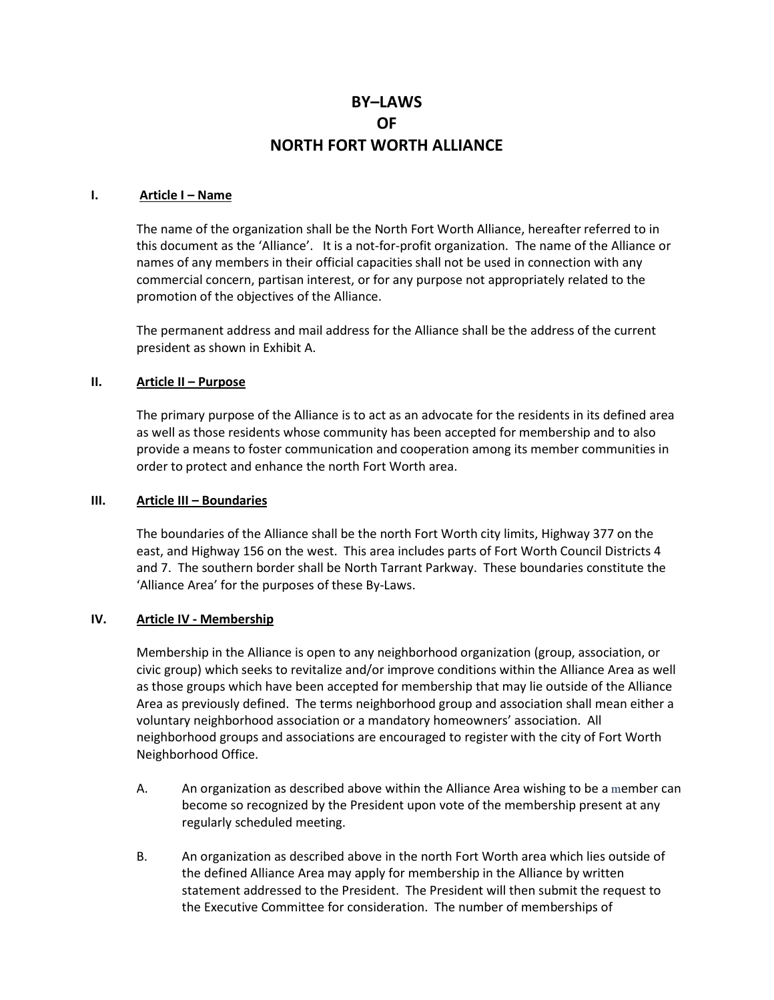# BY–LAWS OF NORTH FORT WORTH ALLIANCE

#### I. Article I – Name

The name of the organization shall be the North Fort Worth Alliance, hereafter referred to in this document as the 'Alliance'. It is a not-for-profit organization. The name of the Alliance or names of any members in their official capacities shall not be used in connection with any commercial concern, partisan interest, or for any purpose not appropriately related to the promotion of the objectives of the Alliance.

The permanent address and mail address for the Alliance shall be the address of the current president as shown in Exhibit A.

## II. Article II – Purpose

The primary purpose of the Alliance is to act as an advocate for the residents in its defined area as well as those residents whose community has been accepted for membership and to also provide a means to foster communication and cooperation among its member communities in order to protect and enhance the north Fort Worth area.

#### III. Article III – Boundaries

The boundaries of the Alliance shall be the north Fort Worth city limits, Highway 377 on the east, and Highway 156 on the west. This area includes parts of Fort Worth Council Districts 4 and 7. The southern border shall be North Tarrant Parkway. These boundaries constitute the 'Alliance Area' for the purposes of these By-Laws.

#### IV. Article IV - Membership

Membership in the Alliance is open to any neighborhood organization (group, association, or civic group) which seeks to revitalize and/or improve conditions within the Alliance Area as well as those groups which have been accepted for membership that may lie outside of the Alliance Area as previously defined. The terms neighborhood group and association shall mean either a voluntary neighborhood association or a mandatory homeowners' association. All neighborhood groups and associations are encouraged to register with the city of Fort Worth Neighborhood Office.

- A. An organization as described above within the Alliance Area wishing to be a member can become so recognized by the President upon vote of the membership present at any regularly scheduled meeting.
- B. An organization as described above in the north Fort Worth area which lies outside of the defined Alliance Area may apply for membership in the Alliance by written statement addressed to the President. The President will then submit the request to the Executive Committee for consideration. The number of memberships of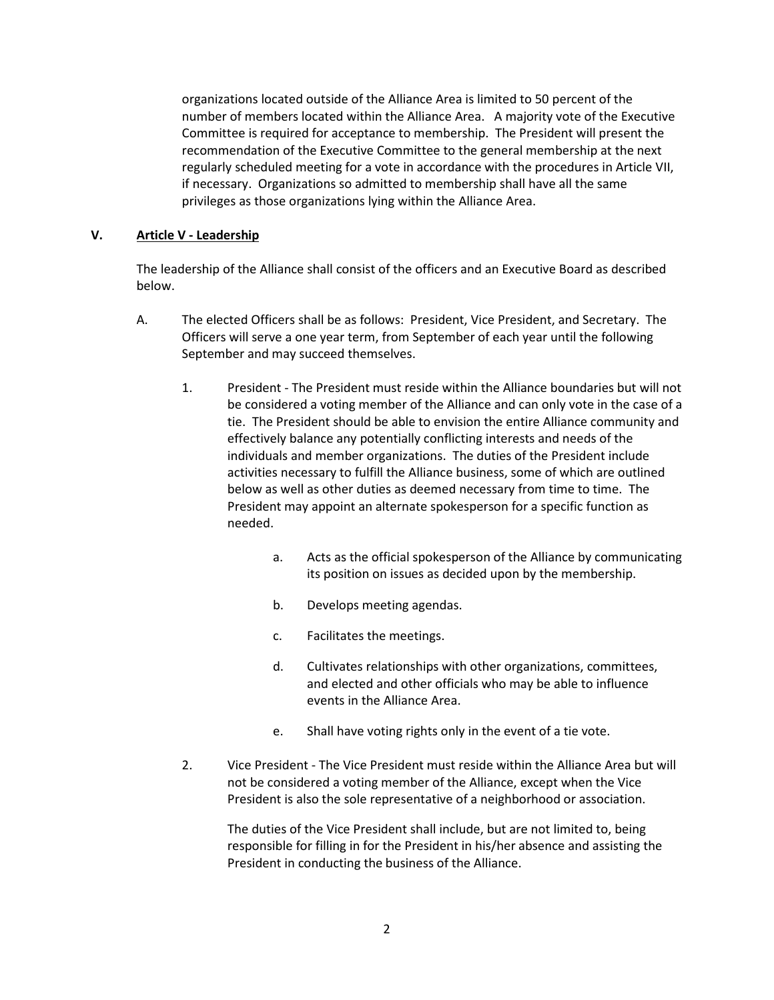organizations located outside of the Alliance Area is limited to 50 percent of the number of members located within the Alliance Area. A majority vote of the Executive Committee is required for acceptance to membership. The President will present the recommendation of the Executive Committee to the general membership at the next regularly scheduled meeting for a vote in accordance with the procedures in Article VII, if necessary. Organizations so admitted to membership shall have all the same privileges as those organizations lying within the Alliance Area.

### V. Article V - Leadership

The leadership of the Alliance shall consist of the officers and an Executive Board as described below.

- A. The elected Officers shall be as follows: President, Vice President, and Secretary. The Officers will serve a one year term, from September of each year until the following September and may succeed themselves.
	- 1. President The President must reside within the Alliance boundaries but will not be considered a voting member of the Alliance and can only vote in the case of a tie. The President should be able to envision the entire Alliance community and effectively balance any potentially conflicting interests and needs of the individuals and member organizations. The duties of the President include activities necessary to fulfill the Alliance business, some of which are outlined below as well as other duties as deemed necessary from time to time. The President may appoint an alternate spokesperson for a specific function as needed.
		- a. Acts as the official spokesperson of the Alliance by communicating its position on issues as decided upon by the membership.
		- b. Develops meeting agendas.
		- c. Facilitates the meetings.
		- d. Cultivates relationships with other organizations, committees, and elected and other officials who may be able to influence events in the Alliance Area.
		- e. Shall have voting rights only in the event of a tie vote.
	- 2. Vice President The Vice President must reside within the Alliance Area but will not be considered a voting member of the Alliance, except when the Vice President is also the sole representative of a neighborhood or association.

The duties of the Vice President shall include, but are not limited to, being responsible for filling in for the President in his/her absence and assisting the President in conducting the business of the Alliance.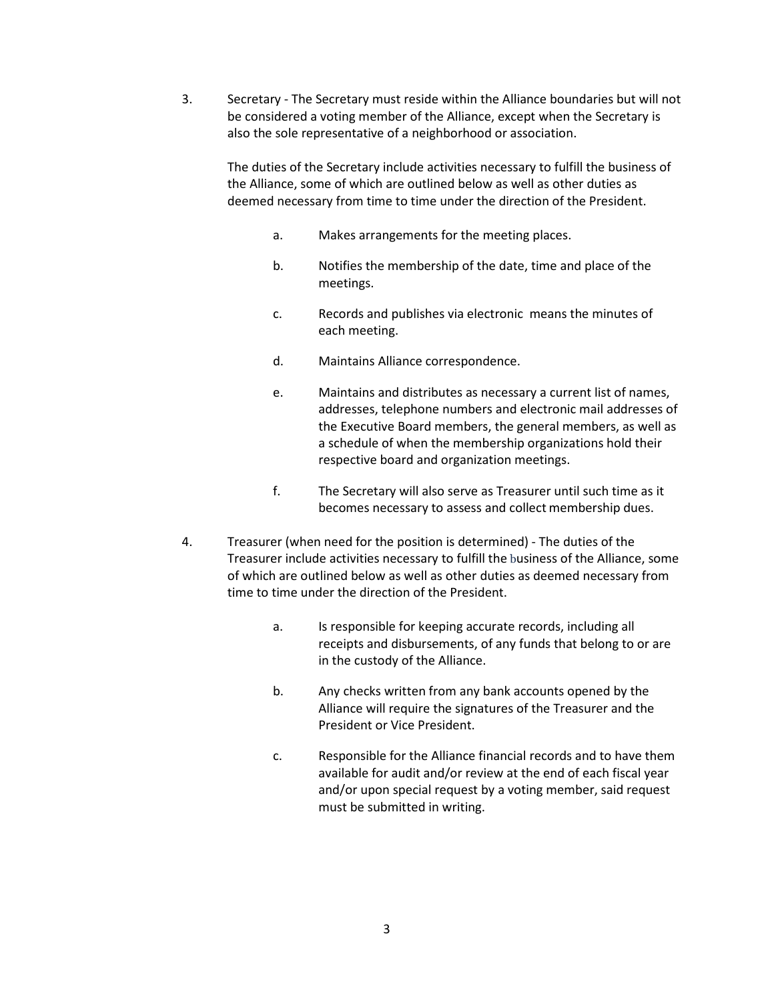3. Secretary - The Secretary must reside within the Alliance boundaries but will not be considered a voting member of the Alliance, except when the Secretary is also the sole representative of a neighborhood or association.

 The duties of the Secretary include activities necessary to fulfill the business of the Alliance, some of which are outlined below as well as other duties as deemed necessary from time to time under the direction of the President.

- a. Makes arrangements for the meeting places.
- b. Notifies the membership of the date, time and place of the meetings.
- c. Records and publishes via electronic means the minutes of each meeting.
- d. Maintains Alliance correspondence.
- e. Maintains and distributes as necessary a current list of names, addresses, telephone numbers and electronic mail addresses of the Executive Board members, the general members, as well as a schedule of when the membership organizations hold their respective board and organization meetings.
- f. The Secretary will also serve as Treasurer until such time as it becomes necessary to assess and collect membership dues.
- 4. Treasurer (when need for the position is determined) The duties of the Treasurer include activities necessary to fulfill the business of the Alliance, some of which are outlined below as well as other duties as deemed necessary from time to time under the direction of the President.
	- a. Is responsible for keeping accurate records, including all receipts and disbursements, of any funds that belong to or are in the custody of the Alliance.
	- b. Any checks written from any bank accounts opened by the Alliance will require the signatures of the Treasurer and the President or Vice President.
	- c. Responsible for the Alliance financial records and to have them available for audit and/or review at the end of each fiscal year and/or upon special request by a voting member, said request must be submitted in writing.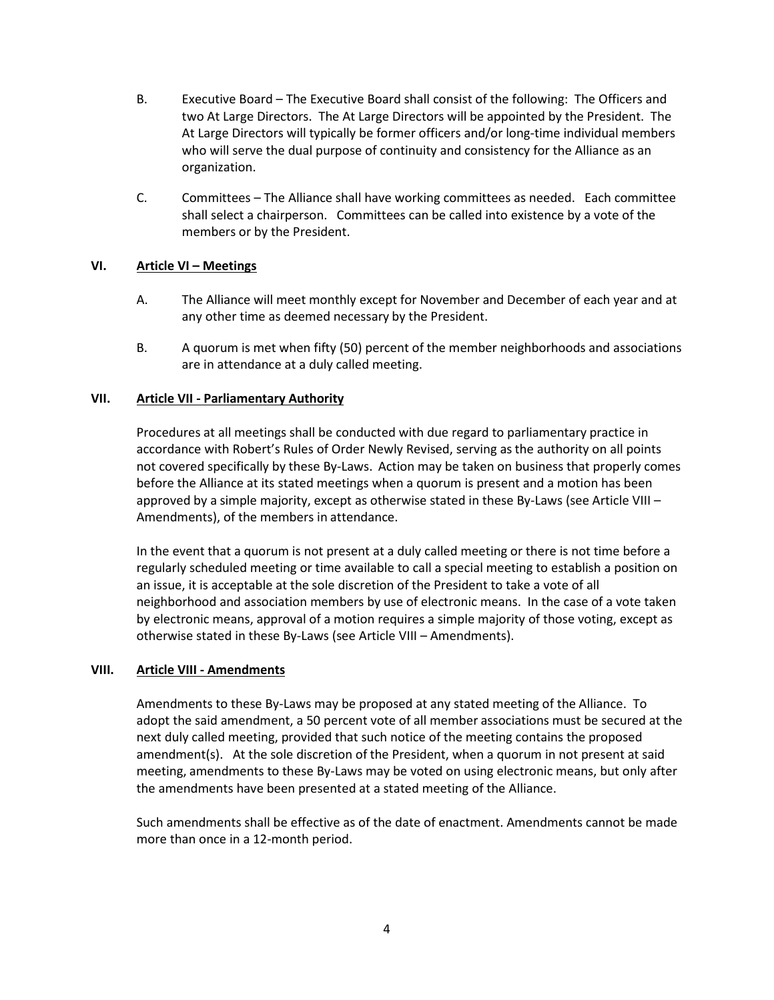- B. Executive Board The Executive Board shall consist of the following: The Officers and two At Large Directors. The At Large Directors will be appointed by the President. The At Large Directors will typically be former officers and/or long-time individual members who will serve the dual purpose of continuity and consistency for the Alliance as an organization.
- C. Committees The Alliance shall have working committees as needed. Each committee shall select a chairperson. Committees can be called into existence by a vote of the members or by the President.

### VI. Article VI – Meetings

- A. The Alliance will meet monthly except for November and December of each year and at any other time as deemed necessary by the President.
- B. A quorum is met when fifty (50) percent of the member neighborhoods and associations are in attendance at a duly called meeting.

## VII. Article VII - Parliamentary Authority

Procedures at all meetings shall be conducted with due regard to parliamentary practice in accordance with Robert's Rules of Order Newly Revised, serving as the authority on all points not covered specifically by these By-Laws. Action may be taken on business that properly comes before the Alliance at its stated meetings when a quorum is present and a motion has been approved by a simple majority, except as otherwise stated in these By-Laws (see Article VIII – Amendments), of the members in attendance.

In the event that a quorum is not present at a duly called meeting or there is not time before a regularly scheduled meeting or time available to call a special meeting to establish a position on an issue, it is acceptable at the sole discretion of the President to take a vote of all neighborhood and association members by use of electronic means. In the case of a vote taken by electronic means, approval of a motion requires a simple majority of those voting, except as otherwise stated in these By-Laws (see Article VIII – Amendments).

### VIII. Article VIII - Amendments

Amendments to these By-Laws may be proposed at any stated meeting of the Alliance. To adopt the said amendment, a 50 percent vote of all member associations must be secured at the next duly called meeting, provided that such notice of the meeting contains the proposed amendment(s). At the sole discretion of the President, when a quorum in not present at said meeting, amendments to these By-Laws may be voted on using electronic means, but only after the amendments have been presented at a stated meeting of the Alliance.

Such amendments shall be effective as of the date of enactment. Amendments cannot be made more than once in a 12-month period.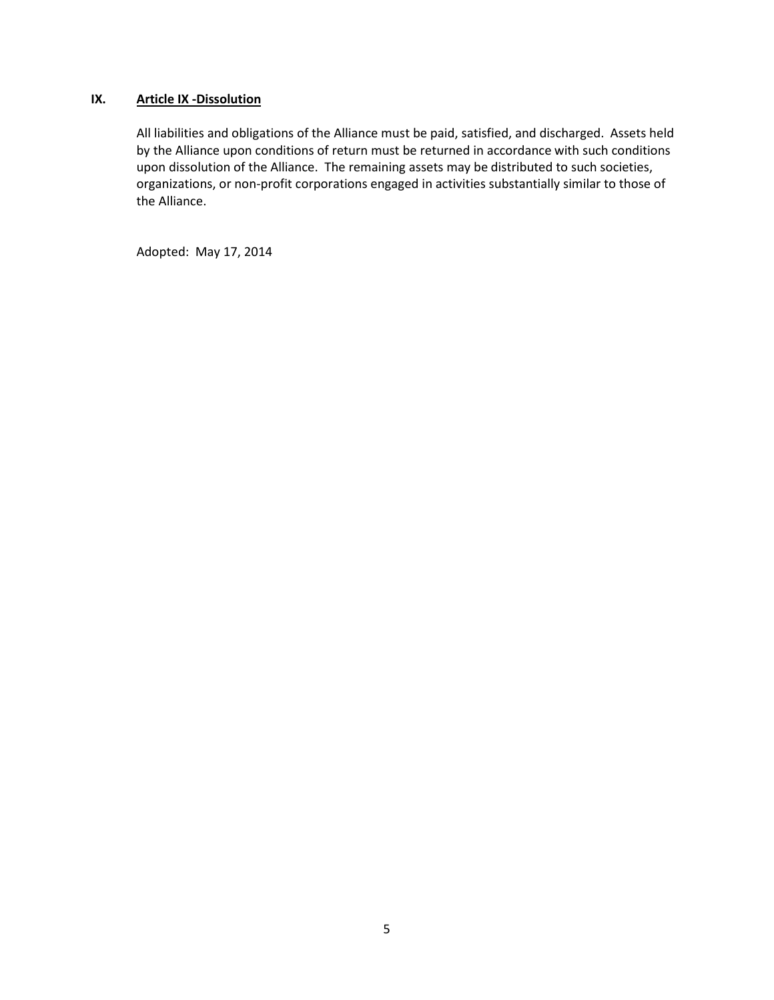## IX. Article IX -Dissolution

All liabilities and obligations of the Alliance must be paid, satisfied, and discharged. Assets held by the Alliance upon conditions of return must be returned in accordance with such conditions upon dissolution of the Alliance. The remaining assets may be distributed to such societies, organizations, or non-profit corporations engaged in activities substantially similar to those of the Alliance.

Adopted: May 17, 2014